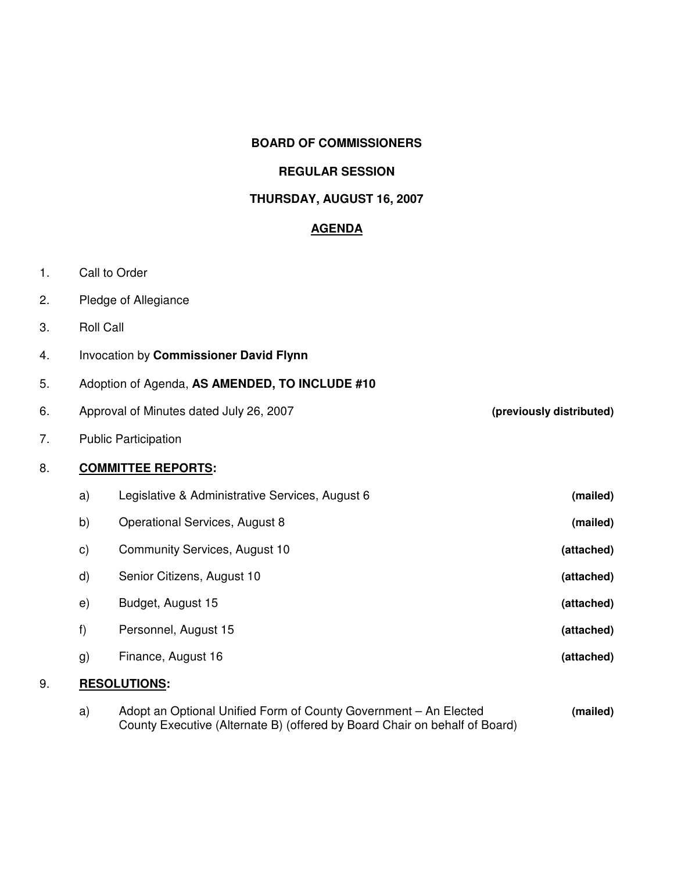### **BOARD OF COMMISSIONERS**

### **REGULAR SESSION**

# **THURSDAY, AUGUST 16, 2007**

# **AGENDA**

- 1. Call to Order
- 2. Pledge of Allegiance
- 3. Roll Call
- 4. Invocation by **Commissioner David Flynn**
- 5. Adoption of Agenda, **AS AMENDED, TO INCLUDE #10**
- 6. Approval of Minutes dated July 26, 2007 **(previously distributed)**
- 7. Public Participation

# 8. **COMMITTEE REPORTS:**

|    | a)                  | Legislative & Administrative Services, August 6 | (mailed)   |
|----|---------------------|-------------------------------------------------|------------|
|    | b)                  | Operational Services, August 8                  | (mailed)   |
|    | $\mathbf{c})$       | Community Services, August 10                   | (attached) |
|    | $\mathsf{d}$        | Senior Citizens, August 10                      | (attached) |
|    | e)                  | Budget, August 15                               | (attached) |
|    | f)                  | Personnel, August 15                            | (attached) |
|    | g)                  | Finance, August 16                              | (attached) |
| 9. | <b>RESOLUTIONS:</b> |                                                 |            |

a) Adopt an Optional Unified Form of County Government – An Elected **(mailed)** County Executive (Alternate B) (offered by Board Chair on behalf of Board)